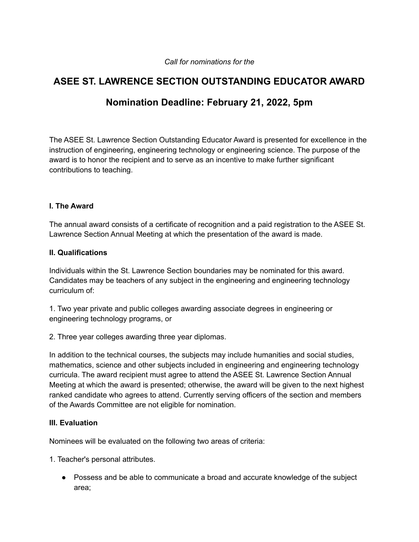#### *Call for nominations for the*

# **ASEE ST. LAWRENCE SECTION OUTSTANDING EDUCATOR AWARD**

# **Nomination Deadline: February 21, 2022, 5pm**

The ASEE St. Lawrence Section Outstanding Educator Award is presented for excellence in the instruction of engineering, engineering technology or engineering science. The purpose of the award is to honor the recipient and to serve as an incentive to make further significant contributions to teaching.

#### **I. The Award**

The annual award consists of a certificate of recognition and a paid registration to the ASEE St. Lawrence Section Annual Meeting at which the presentation of the award is made.

#### **II. Qualifications**

Individuals within the St. Lawrence Section boundaries may be nominated for this award. Candidates may be teachers of any subject in the engineering and engineering technology curriculum of:

1. Two year private and public colleges awarding associate degrees in engineering or engineering technology programs, or

2. Three year colleges awarding three year diplomas.

In addition to the technical courses, the subjects may include humanities and social studies, mathematics, science and other subjects included in engineering and engineering technology curricula. The award recipient must agree to attend the ASEE St. Lawrence Section Annual Meeting at which the award is presented; otherwise, the award will be given to the next highest ranked candidate who agrees to attend. Currently serving officers of the section and members of the Awards Committee are not eligible for nomination.

#### **III. Evaluation**

Nominees will be evaluated on the following two areas of criteria:

1. Teacher's personal attributes.

● Possess and be able to communicate a broad and accurate knowledge of the subject area;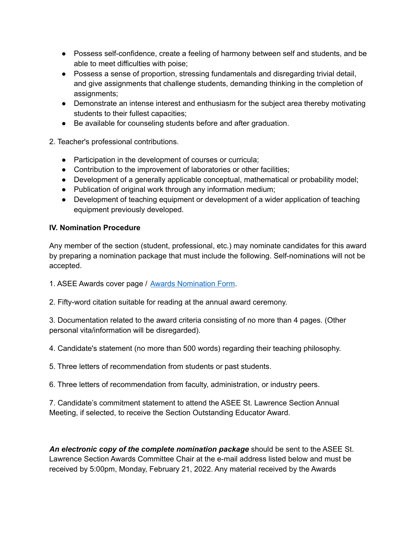- Possess self-confidence, create a feeling of harmony between self and students, and be able to meet difficulties with poise;
- Possess a sense of proportion, stressing fundamentals and disregarding trivial detail, and give assignments that challenge students, demanding thinking in the completion of assignments;
- Demonstrate an intense interest and enthusiasm for the subject area thereby motivating students to their fullest capacities;
- Be available for counseling students before and after graduation.
- 2. Teacher's professional contributions.
	- Participation in the development of courses or curricula;
	- Contribution to the improvement of laboratories or other facilities;
	- Development of a generally applicable conceptual, mathematical or probability model;
	- Publication of original work through any information medium;
	- Development of teaching equipment or development of a wider application of teaching equipment previously developed.

## **IV. Nomination Procedure**

Any member of the section (student, professional, etc.) may nominate candidates for this award by preparing a nomination package that must include the following. Self-nominations will not be accepted.

- 1. ASEE Awards cover page / Awards [Nomination](https://sites.asee.org/stl/wp-content/uploads/sites/43/2019/08/ASEE-Award-Nomination-Form.pdf) Form.
- 2. Fifty-word citation suitable for reading at the annual award ceremony.

3. Documentation related to the award criteria consisting of no more than 4 pages. (Other personal vita/information will be disregarded).

- 4. Candidate's statement (no more than 500 words) regarding their teaching philosophy.
- 5. Three letters of recommendation from students or past students.
- 6. Three letters of recommendation from faculty, administration, or industry peers.

7. Candidate's commitment statement to attend the ASEE St. Lawrence Section Annual Meeting, if selected, to receive the Section Outstanding Educator Award.

*An electronic copy of the complete nomination package* should be sent to the ASEE St. Lawrence Section Awards Committee Chair at the e-mail address listed below and must be received by 5:00pm, Monday, February 21, 2022. Any material received by the Awards